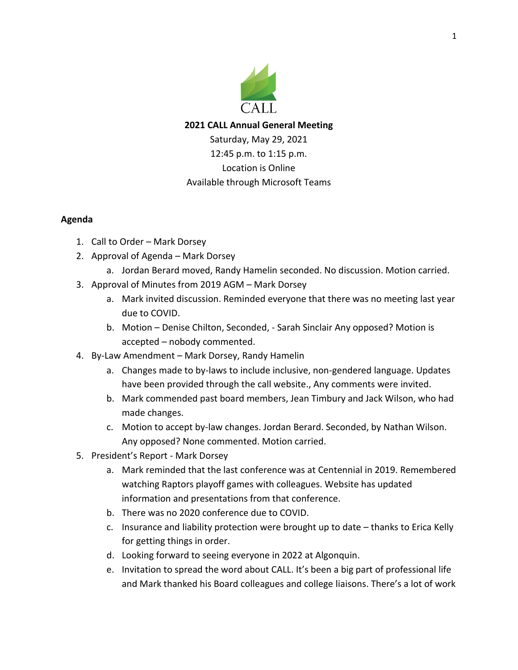

## **2021 CALL Annual General Meeting**

Saturday, May 29, 2021 12:45 p.m. to 1:15 p.m. Location is Online Available through Microsoft Teams

## **Agenda**

- 1. Call to Order Mark Dorsey
- 2. Approval of Agenda Mark Dorsey
	- a. Jordan Berard moved, Randy Hamelin seconded. No discussion. Motion carried.
- 3. Approval of Minutes from 2019 AGM Mark Dorsey
	- a. Mark invited discussion. Reminded everyone that there was no meeting last year due to COVID.
	- b. Motion Denise Chilton, Seconded, Sarah Sinclair Any opposed? Motion is accepted – nobody commented.
- 4. By-Law Amendment Mark Dorsey, Randy Hamelin
	- a. Changes made to by-laws to include inclusive, non-gendered language. Updates have been provided through the call website., Any comments were invited.
	- b. Mark commended past board members, Jean Timbury and Jack Wilson, who had made changes.
	- c. Motion to accept by-law changes. Jordan Berard. Seconded, by Nathan Wilson. Any opposed? None commented. Motion carried.
- 5. President's Report Mark Dorsey
	- a. Mark reminded that the last conference was at Centennial in 2019. Remembered watching Raptors playoff games with colleagues. Website has updated information and presentations from that conference.
	- b. There was no 2020 conference due to COVID.
	- c. Insurance and liability protection were brought up to date thanks to Erica Kelly for getting things in order.
	- d. Looking forward to seeing everyone in 2022 at Algonquin.
	- e. Invitation to spread the word about CALL. It's been a big part of professional life and Mark thanked his Board colleagues and college liaisons. There's a lot of work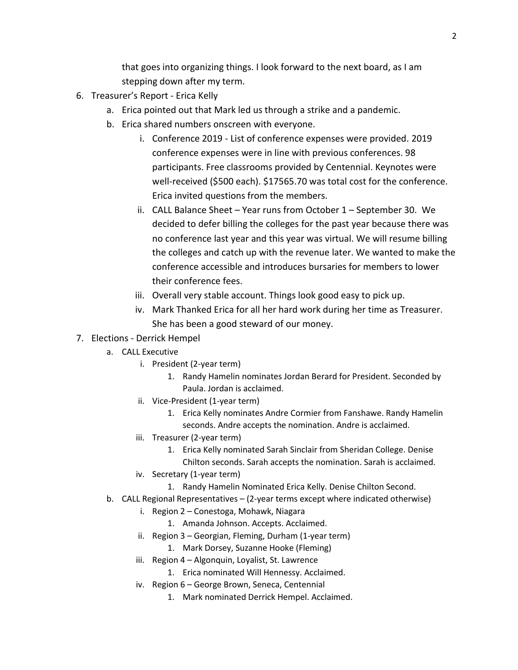that goes into organizing things. I look forward to the next board, as I am stepping down after my term.

- 6. Treasurer's Report Erica Kelly
	- a. Erica pointed out that Mark led us through a strike and a pandemic.
	- b. Erica shared numbers onscreen with everyone.
		- i. Conference 2019 List of conference expenses were provided. 2019 conference expenses were in line with previous conferences. 98 participants. Free classrooms provided by Centennial. Keynotes were well-received (\$500 each). \$17565.70 was total cost for the conference. Erica invited questions from the members.
		- ii. CALL Balance Sheet Year runs from October 1 September 30. We decided to defer billing the colleges for the past year because there was no conference last year and this year was virtual. We will resume billing the colleges and catch up with the revenue later. We wanted to make the conference accessible and introduces bursaries for members to lower their conference fees.
		- iii. Overall very stable account. Things look good easy to pick up.
		- iv. Mark Thanked Erica for all her hard work during her time as Treasurer. She has been a good steward of our money.
- 7. Elections Derrick Hempel
	- a. CALL Executive
		- i. President (2-year term)
			- 1. Randy Hamelin nominates Jordan Berard for President. Seconded by Paula. Jordan is acclaimed.
		- ii. Vice-President (1-year term)
			- 1. Erica Kelly nominates Andre Cormier from Fanshawe. Randy Hamelin seconds. Andre accepts the nomination. Andre is acclaimed.
		- iii. Treasurer (2-year term)
			- 1. Erica Kelly nominated Sarah Sinclair from Sheridan College. Denise Chilton seconds. Sarah accepts the nomination. Sarah is acclaimed.
		- iv. Secretary (1-year term)
			- 1. Randy Hamelin Nominated Erica Kelly. Denise Chilton Second.
	- b. CALL Regional Representatives (2-year terms except where indicated otherwise)
		- i. Region 2 Conestoga, Mohawk, Niagara
			- 1. Amanda Johnson. Accepts. Acclaimed.
		- ii. Region 3 Georgian, Fleming, Durham (1-year term)
			- 1. Mark Dorsey, Suzanne Hooke (Fleming)
		- iii. Region 4 Algonquin, Loyalist, St. Lawrence
			- 1. Erica nominated Will Hennessy. Acclaimed.
		- iv. Region 6 George Brown, Seneca, Centennial
			- 1. Mark nominated Derrick Hempel. Acclaimed.